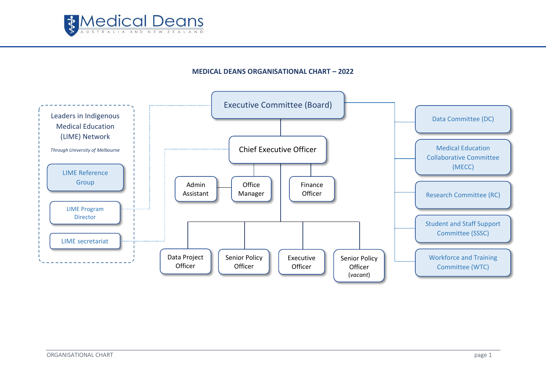

## **MEDICAL DEANS ORGANISATIONAL CHART – 2022**

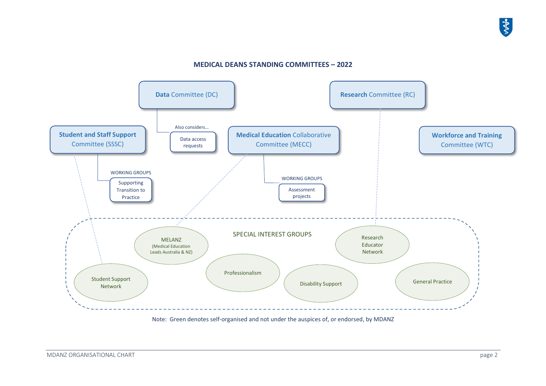## **MEDICAL DEANS STANDING COMMITTEES – 2022**



Note: Green denotes self-organised and not under the auspices of, or endorsed, by MDANZ